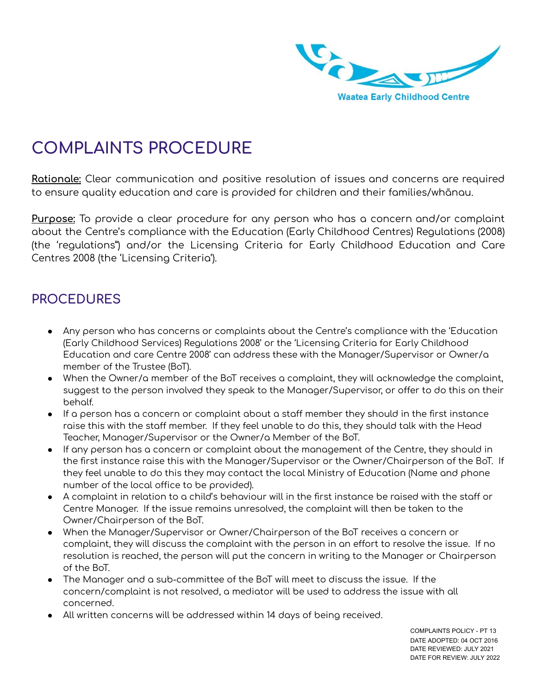

## **COMPLAINTS PROCEDURE**

**Rationale:** Clear communication and positive resolution of issues and concerns are required to ensure quality education and care is provided for children and their families/whānau.

**Purpose:** To provide a clear procedure for any person who has a concern and/or complaint about the Centre's compliance with the Education (Early Childhood Centres) Regulations (2008) (the 'regulations") and/or the Licensing Criteria for Early Childhood Education and Care Centres 2008 (the 'Licensing Criteria').

## **PROCEDURES**

- Any person who has concerns or complaints about the Centre's compliance with the 'Education (Early Childhood Services) Regulations 2008' or the 'Licensing Criteria for Early Childhood Education and care Centre 2008' can address these with the Manager/Supervisor or Owner/a member of the Trustee (BoT).
- When the Owner/a member of the BoT receives a complaint, they will acknowledge the complaint, suggest to the person involved they speak to the Manager/Supervisor, or offer to do this on their behalf.
- If a person has a concern or complaint about a staff member they should in the first instance raise this with the staff member. If they feel unable to do this, they should talk with the Head Teacher, Manager/Supervisor or the Owner/a Member of the BoT.
- If any person has a concern or complaint about the management of the Centre, they should in the first instance raise this with the Manager/Supervisor or the Owner/Chairperson of the BoT. If they feel unable to do this they may contact the local Ministry of Education (Name and phone number of the local office to be provided).
- $\bullet$  A complaint in relation to a child's behaviour will in the first instance be raised with the staff or Centre Manager. If the issue remains unresolved, the complaint will then be taken to the Owner/Chairperson of the BoT.
- When the Manager/Supervisor or Owner/Chairperson of the BoT receives a concern or complaint, they will discuss the complaint with the person in an effort to resolve the issue. If no resolution is reached, the person will put the concern in writing to the Manager or Chairperson of the BoT.
- The Manager and a sub-committee of the BoT will meet to discuss the issue. If the concern/complaint is not resolved, a mediator will be used to address the issue with all concerned.
- All written concerns will be addressed within 14 days of being received.